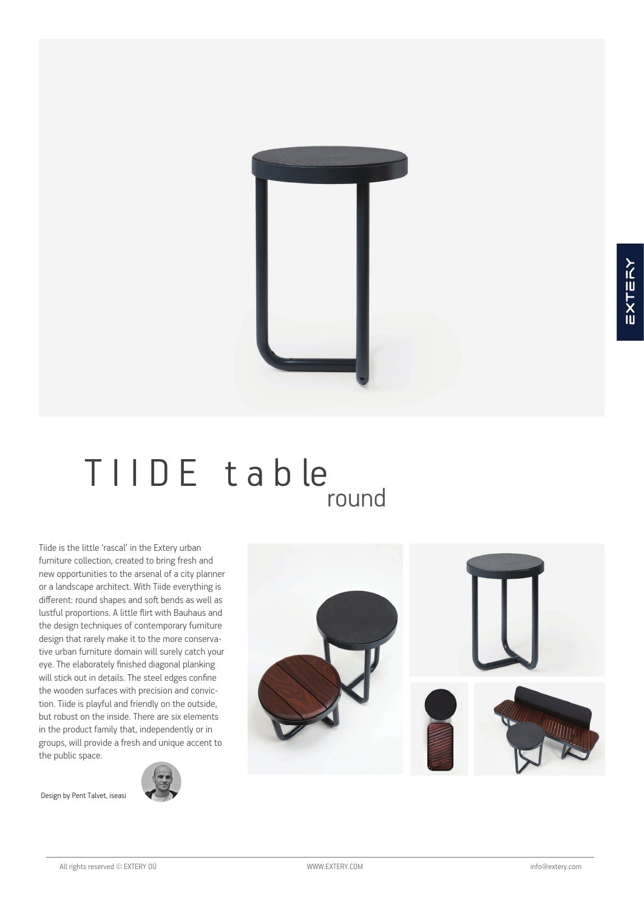

# TIIDE table round

Tiide is the little 'rascal' in the Extery urban furniture collection, created to bring fresh and new opportunities to the arsenal of a city planner or a landscape architect. With Tiide everything is different: round shapes and soft bends as well as lustful proportions. A little flirt with Bauhaus and the design techniques of contemporary furniture design that rarely make it to the more conservative urban furniture domain will surely catch your eye. The elaborately finished diagonal planking will stick out in details. The steel edges confine the wooden surfaces with precision and conviction. Tiide is playful and friendly on the outside, but robust on the inside. There are six elements in the product family that, independently or in groups, will provide a fresh and unique accent to the public space.

Design by Pent Talvet, iseasi





All rights reserved © EXTERY 0Ü **www.EXTERY.COM** info@extery.com info@extery.com